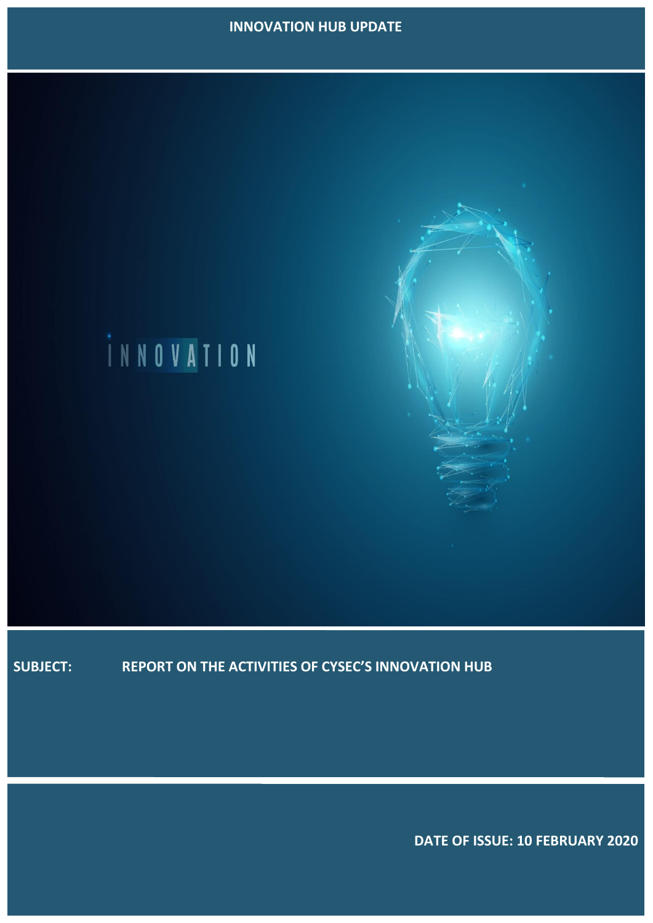# **INNOVATION HUB UPDATE**



**SUBJECT: REPORT ON THE ACTIVITIES OF CYSEC'S INNOVATION HUB**

 **DATE OF ISSUE: 10 FEBRUARY 2020**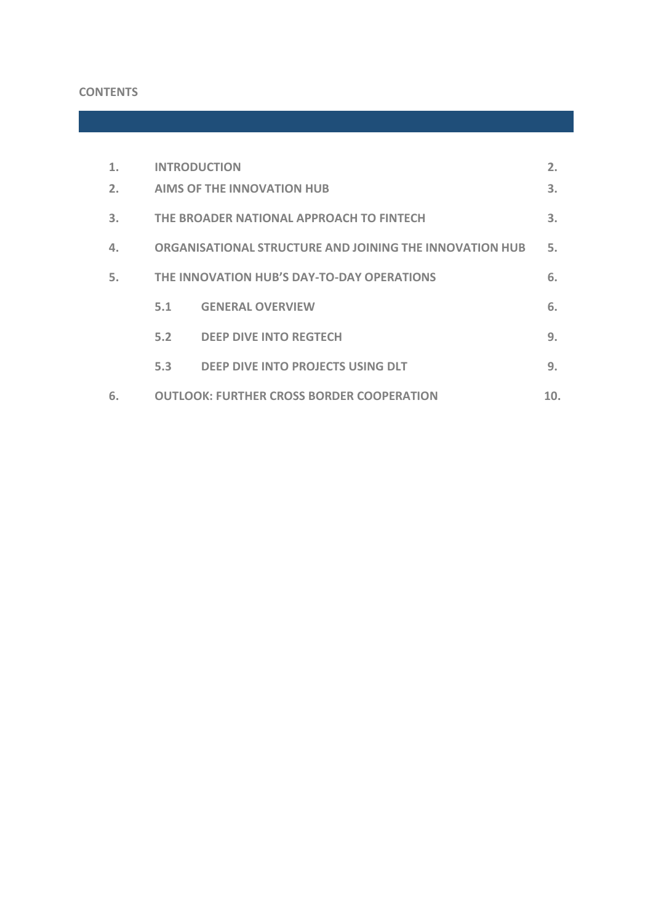# **CONTENTS**

|    | <b>INTRODUCTION</b>                                     |                                   | 2. |
|----|---------------------------------------------------------|-----------------------------------|----|
| 2. | <b>AIMS OF THE INNOVATION HUB</b>                       |                                   | 3. |
| 3. | THE BROADER NATIONAL APPROACH TO FINTECH                |                                   | 3. |
|    | ORGANISATIONAL STRUCTURE AND JOINING THE INNOVATION HUB |                                   | 5. |
| 5. | THE INNOVATION HUB'S DAY-TO-DAY OPERATIONS              |                                   | 6. |
|    | 5.1                                                     | <b>GENERAL OVERVIEW</b>           | 6. |
|    | 5.2                                                     | <b>DEEP DIVE INTO REGTECH</b>     | 9. |
|    | 5.3                                                     | DEEP DIVE INTO PROJECTS USING DLT | 9. |
| 6. | <b>OUTLOOK: FURTHER CROSS BORDER COOPERATION</b><br>10. |                                   |    |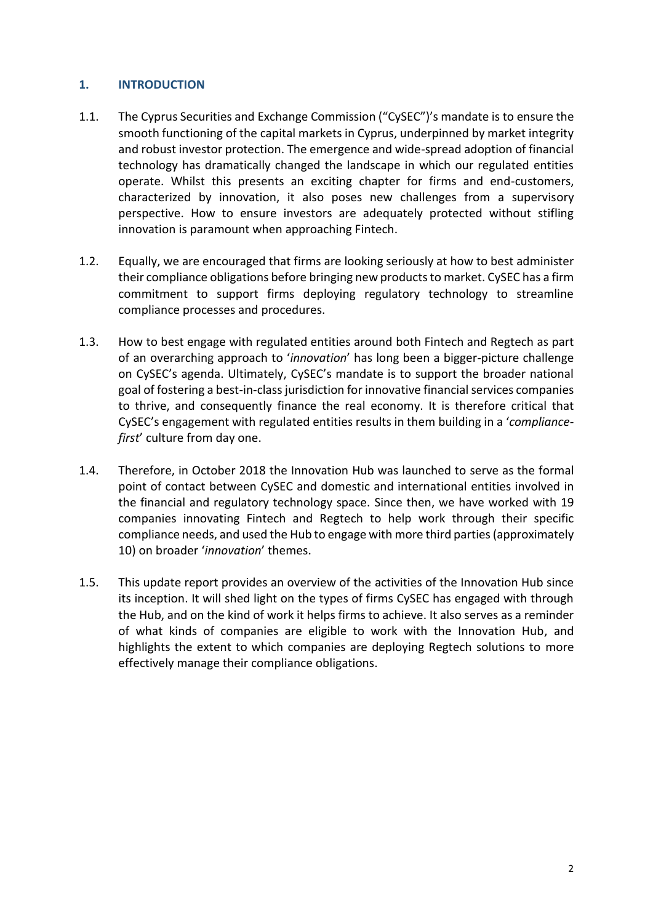## <span id="page-2-0"></span>**1. INTRODUCTION**

- 1.1. The Cyprus Securities and Exchange Commission ("CySEC")'s mandate is to ensure the smooth functioning of the capital markets in Cyprus, underpinned by market integrity and robust investor protection. The emergence and wide-spread adoption of financial technology has dramatically changed the landscape in which our regulated entities operate. Whilst this presents an exciting chapter for firms and end-customers, characterized by innovation, it also poses new challenges from a supervisory perspective. How to ensure investors are adequately protected without stifling innovation is paramount when approaching Fintech.
- 1.2. Equally, we are encouraged that firms are looking seriously at how to best administer their compliance obligations before bringing new products to market. CySEC has a firm commitment to support firms deploying regulatory technology to streamline compliance processes and procedures.
- 1.3. How to best engage with regulated entities around both Fintech and Regtech as part of an overarching approach to '*innovation*' has long been a bigger-picture challenge on CySEC's agenda. Ultimately, CySEC's mandate is to support the broader national goal of fostering a best-in-class jurisdiction for innovative financial services companies to thrive, and consequently finance the real economy. It is therefore critical that CySEC's engagement with regulated entities results in them building in a '*compliancefirst*' culture from day one.
- 1.4. Therefore, in October 2018 the Innovation Hub was launched to serve as the formal point of contact between CySEC and domestic and international entities involved in the financial and regulatory technology space. Since then, we have worked with 19 companies innovating Fintech and Regtech to help work through their specific compliance needs, and used the Hub to engage with more third parties (approximately 10) on broader '*innovation*' themes.
- 1.5. This update report provides an overview of the activities of the Innovation Hub since its inception. It will shed light on the types of firms CySEC has engaged with through the Hub, and on the kind of work it helps firms to achieve. It also serves as a reminder of what kinds of companies are eligible to work with the Innovation Hub, and highlights the extent to which companies are deploying Regtech solutions to more effectively manage their compliance obligations.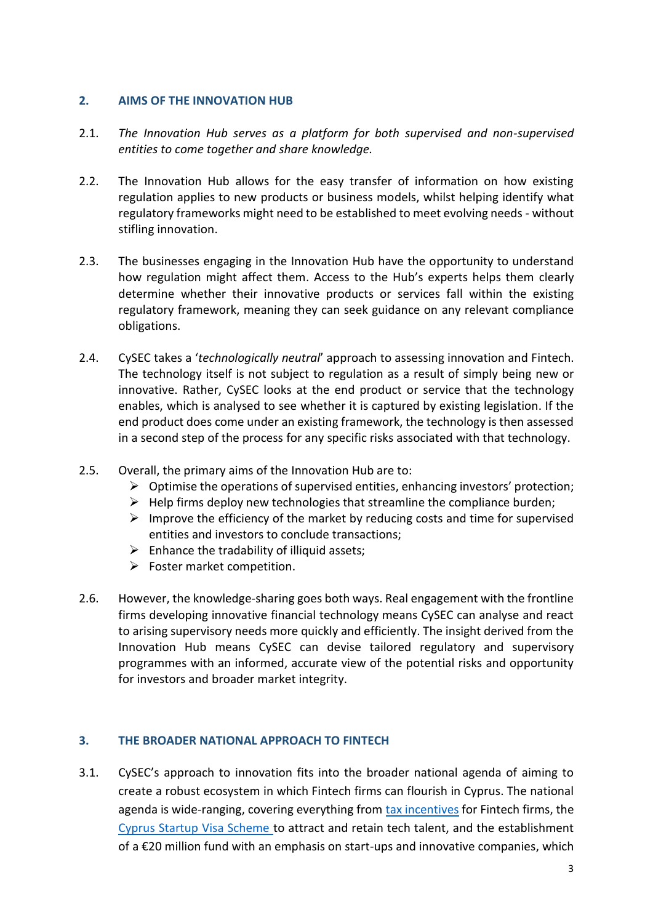#### <span id="page-3-0"></span>**2. AIMS OF THE INNOVATION HUB**

- 2.1. *The Innovation Hub serves as a platform for both supervised and non-supervised entities to come together and share knowledge.*
- 2.2. The Innovation Hub allows for the easy transfer of information on how existing regulation applies to new products or business models, whilst helping identify what regulatory frameworks might need to be established to meet evolving needs - without stifling innovation.
- 2.3. The businesses engaging in the Innovation Hub have the opportunity to understand how regulation might affect them. Access to the Hub's experts helps them clearly determine whether their innovative products or services fall within the existing regulatory framework, meaning they can seek guidance on any relevant compliance obligations.
- 2.4. CySEC takes a '*technologically neutral*' approach to assessing innovation and Fintech. The technology itself is not subject to regulation as a result of simply being new or innovative. Rather, CySEC looks at the end product or service that the technology enables, which is analysed to see whether it is captured by existing legislation. If the end product does come under an existing framework, the technology is then assessed in a second step of the process for any specific risks associated with that technology.
- 2.5. Overall, the primary aims of the Innovation Hub are to:
	- $\triangleright$  Optimise the operations of supervised entities, enhancing investors' protection;
	- $\triangleright$  Help firms deploy new technologies that streamline the compliance burden;
	- $\triangleright$  Improve the efficiency of the market by reducing costs and time for supervised entities and investors to conclude transactions;
	- $\triangleright$  Enhance the tradability of illiquid assets;
	- $\triangleright$  Foster market competition.
- 2.6. However, the knowledge-sharing goes both ways. Real engagement with the frontline firms developing innovative financial technology means CySEC can analyse and react to arising supervisory needs more quickly and efficiently. The insight derived from the Innovation Hub means CySEC can devise tailored regulatory and supervisory programmes with an informed, accurate view of the potential risks and opportunity for investors and broader market integrity.

# <span id="page-3-1"></span>**3. THE BROADER NATIONAL APPROACH TO FINTECH**

3.1. CySEC's approach to innovation fits into the broader national agenda of aiming to create a robust ecosystem in which Fintech firms can flourish in Cyprus. The national agenda is wide-ranging, covering everything from [tax incentives](http://mof.gov.cy/en/press-office/announcements/tax-incentives-for-innovative-enterprises) for Fintech firms, the [Cyprus Startup Visa Scheme](http://mof.gov.cy/assets/modules/wnp/articles/201607/11/docs/cyprus_startup_visa_en22.zip) to attract and retain tech talent, and the establishment of a €20 million fund with an emphasis on start-ups and innovative companies, which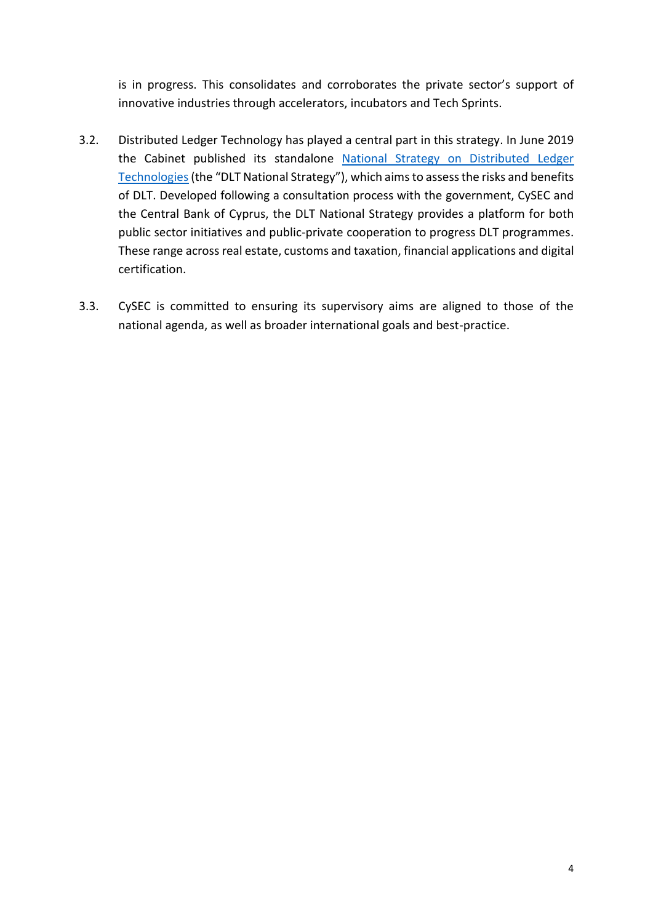is in progress. This consolidates and corroborates the private sector's support of innovative industries through accelerators, incubators and Tech Sprints.

- 3.2. Distributed Ledger Technology has played a central part in this strategy. In June 2019 the Cabinet published its standalone [National Strategy on Distributed Ledger](http://mof.gov.cy/assets/modules/wnp/articles/201907/480/docs/blockchain_strategy_english_final.pdf)  [Technologies](http://mof.gov.cy/assets/modules/wnp/articles/201907/480/docs/blockchain_strategy_english_final.pdf)(the "DLT National Strategy"), which aims to assess the risks and benefits of DLT. Developed following a consultation process with the government, CySEC and the Central Bank of Cyprus, the DLT National Strategy provides a platform for both public sector initiatives and public-private cooperation to progress DLT programmes. These range across real estate, customs and taxation, financial applications and digital certification.
- 3.3. CySEC is committed to ensuring its supervisory aims are aligned to those of the national agenda, as well as broader international goals and best-practice.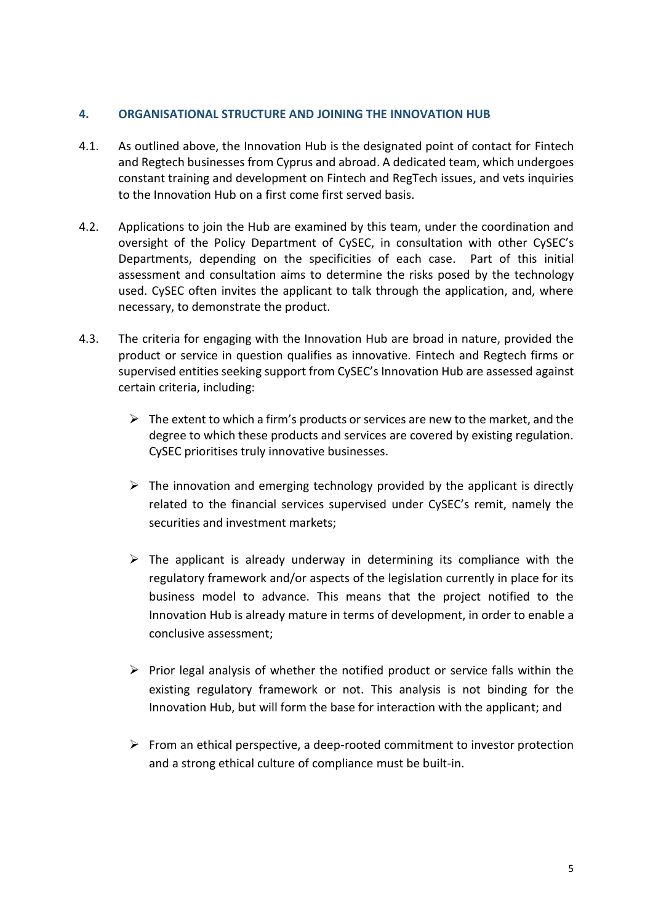#### <span id="page-5-0"></span>**4. ORGANISATIONAL STRUCTURE AND JOINING THE INNOVATION HUB**

- 4.1. As outlined above, the Innovation Hub is the designated point of contact for Fintech and Regtech businesses from Cyprus and abroad. A dedicated team, which undergoes constant training and development on Fintech and RegTech issues, and vets inquiries to the Innovation Hub on a first come first served basis.
- 4.2. Applications to join the Hub are examined by this team, under the coordination and oversight of the Policy Department of CySEC, in consultation with other CySEC's Departments, depending on the specificities of each case. Part of this initial assessment and consultation aims to determine the risks posed by the technology used. CySEC often invites the applicant to talk through the application, and, where necessary, to demonstrate the product.
- 4.3. The criteria for engaging with the Innovation Hub are broad in nature, provided the product or service in question qualifies as innovative. Fintech and Regtech firms or supervised entities seeking support from CySEC's Innovation Hub are assessed against certain criteria, including:
	- $\triangleright$  The extent to which a firm's products or services are new to the market, and the degree to which these products and services are covered by existing regulation. CySEC prioritises truly innovative businesses.
	- $\triangleright$  The innovation and emerging technology provided by the applicant is directly related to the financial services supervised under CySEC's remit, namely the securities and investment markets;
	- $\triangleright$  The applicant is already underway in determining its compliance with the regulatory framework and/or aspects of the legislation currently in place for its business model to advance. This means that the project notified to the Innovation Hub is already mature in terms of development, in order to enable a conclusive assessment;
	- $\triangleright$  Prior legal analysis of whether the notified product or service falls within the existing regulatory framework or not. This analysis is not binding for the Innovation Hub, but will form the base for interaction with the applicant; and
	- $\triangleright$  From an ethical perspective, a deep-rooted commitment to investor protection and a strong ethical culture of compliance must be built-in.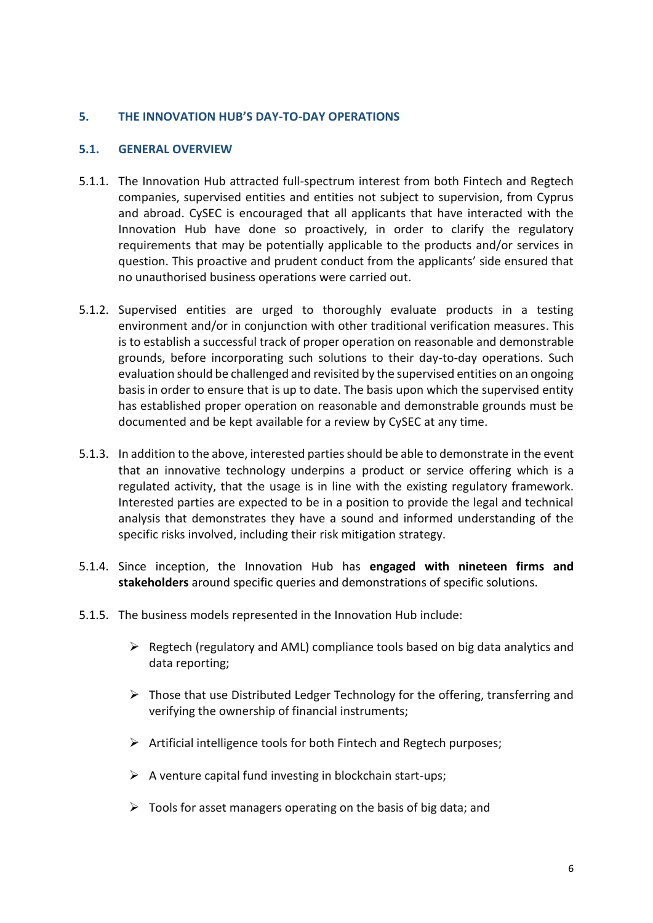#### <span id="page-6-0"></span>**5. THE INNOVATION HUB'S DAY-TO-DAY OPERATIONS**

#### <span id="page-6-1"></span>**5.1. GENERAL OVERVIEW**

- 5.1.1. The Innovation Hub attracted full-spectrum interest from both Fintech and Regtech companies, supervised entities and entities not subject to supervision, from Cyprus and abroad. CySEC is encouraged that all applicants that have interacted with the Innovation Hub have done so proactively, in order to clarify the regulatory requirements that may be potentially applicable to the products and/or services in question. This proactive and prudent conduct from the applicants' side ensured that no unauthorised business operations were carried out.
- 5.1.2. Supervised entities are urged to thoroughly evaluate products in a testing environment and/or in conjunction with other traditional verification measures. This is to establish a successful track of proper operation on reasonable and demonstrable grounds, before incorporating such solutions to their day-to-day operations. Such evaluation should be challenged and revisited by the supervised entities on an ongoing basis in order to ensure that is up to date. The basis upon which the supervised entity has established proper operation on reasonable and demonstrable grounds must be documented and be kept available for a review by CySEC at any time.
- 5.1.3. In addition to the above, interested parties should be able to demonstrate in the event that an innovative technology underpins a product or service offering which is a regulated activity, that the usage is in line with the existing regulatory framework. Interested parties are expected to be in a position to provide the legal and technical analysis that demonstrates they have a sound and informed understanding of the specific risks involved, including their risk mitigation strategy.
- 5.1.4. Since inception, the Innovation Hub has **engaged with nineteen firms and stakeholders** around specific queries and demonstrations of specific solutions.
- 5.1.5. The business models represented in the Innovation Hub include:
	- $\triangleright$  Regtech (regulatory and AML) compliance tools based on big data analytics and data reporting;
	- $\triangleright$  Those that use Distributed Ledger Technology for the offering, transferring and verifying the ownership of financial instruments;
	- $\triangleright$  Artificial intelligence tools for both Fintech and Regtech purposes;
	- $\triangleright$  A venture capital fund investing in blockchain start-ups;
	- $\triangleright$  Tools for asset managers operating on the basis of big data; and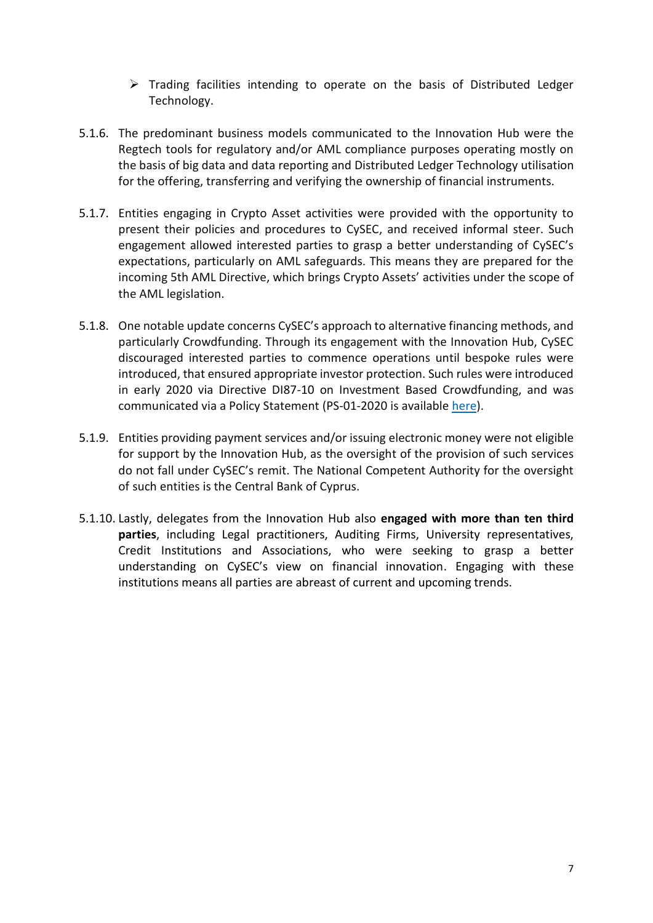- $\triangleright$  Trading facilities intending to operate on the basis of Distributed Ledger Technology.
- 5.1.6. The predominant business models communicated to the Innovation Hub were the Regtech tools for regulatory and/or AML compliance purposes operating mostly on the basis of big data and data reporting and Distributed Ledger Technology utilisation for the offering, transferring and verifying the ownership of financial instruments.
- 5.1.7. Entities engaging in Crypto Asset activities were provided with the opportunity to present their policies and procedures to CySEC, and received informal steer. Such engagement allowed interested parties to grasp a better understanding of CySEC's expectations, particularly on AML safeguards. This means they are prepared for the incoming 5th AML Directive, which brings Crypto Assets' activities under the scope of the AML legislation.
- 5.1.8. One notable update concerns CySEC's approach to alternative financing methods, and particularly Crowdfunding. Through its engagement with the Innovation Hub, CySEC discouraged interested parties to commence operations until bespoke rules were introduced, that ensured appropriate investor protection. Such rules were introduced in early 2020 via Directive DI87-10 on Investment Based Crowdfunding, and was communicated via a Policy Statement (PS-01-2020 is available [here\)](https://www.cysec.gov.cy/CMSPages/GetFile.aspx?guid=d0ac2ba6-2418-4f66-a237-51917eee969c).
- 5.1.9. Entities providing payment services and/or issuing electronic money were not eligible for support by the Innovation Hub, as the oversight of the provision of such services do not fall under CySEC's remit. The National Competent Authority for the oversight of such entities is the Central Bank of Cyprus.
- 5.1.10. Lastly, delegates from the Innovation Hub also **engaged with more than ten third parties**, including Legal practitioners, Auditing Firms, University representatives, Credit Institutions and Associations, who were seeking to grasp a better understanding on CySEC's view on financial innovation. Engaging with these institutions means all parties are abreast of current and upcoming trends.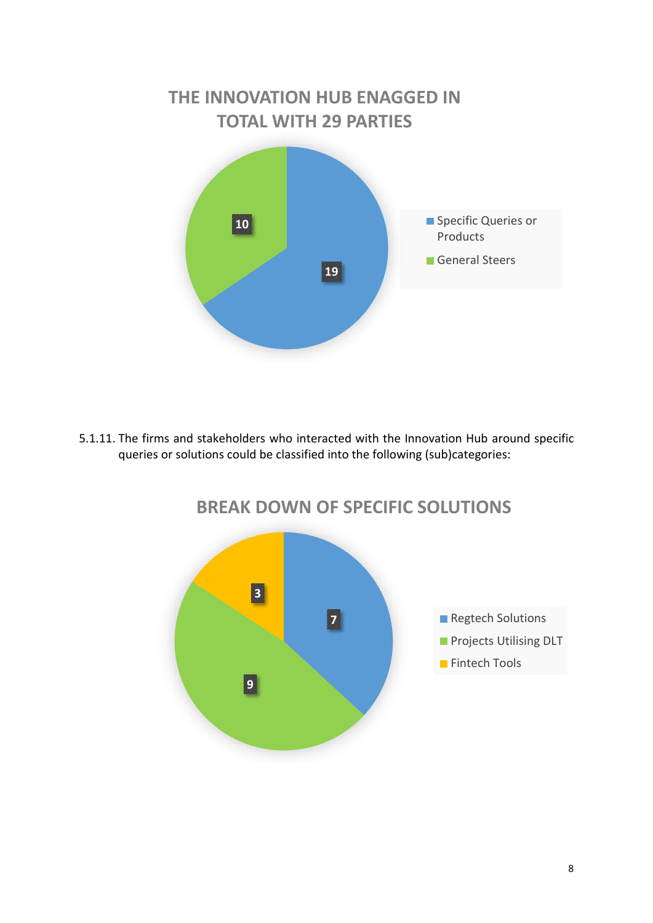# **19 10 THE INNOVATION HUB ENAGGED IN TOTAL WITH 29 PARTIES** Specific Queries or Products General Steers

5.1.11. The firms and stakeholders who interacted with the Innovation Hub around specific queries or solutions could be classified into the following (sub)categories:



# **BREAK DOWN OF SPECIFIC SOLUTIONS**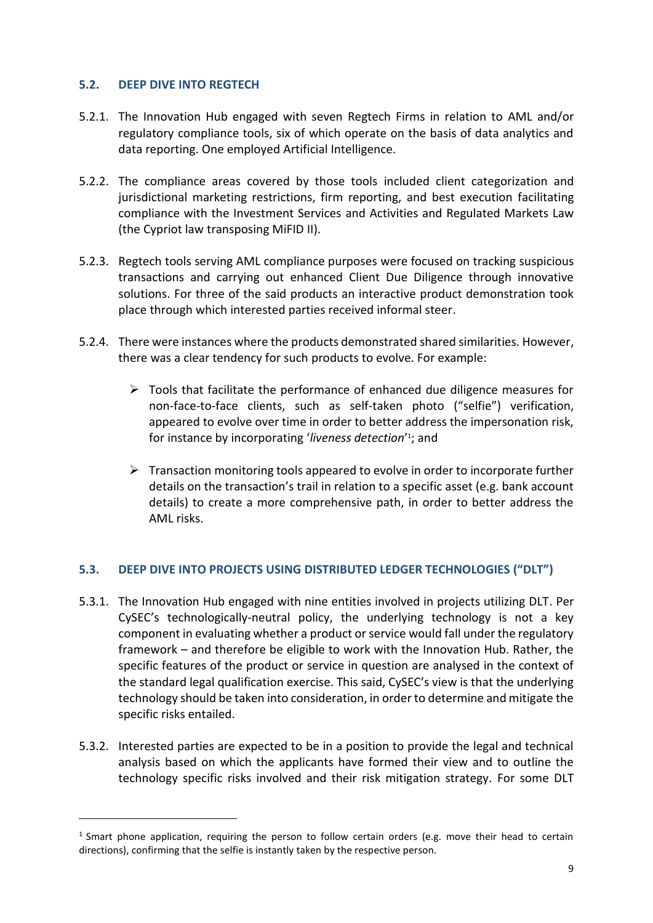## <span id="page-9-0"></span>**5.2. DEEP DIVE INTO REGTECH**

**.** 

- 5.2.1. The Innovation Hub engaged with seven Regtech Firms in relation to AML and/or regulatory compliance tools, six of which operate on the basis of data analytics and data reporting. One employed Artificial Intelligence.
- 5.2.2. The compliance areas covered by those tools included client categorization and jurisdictional marketing restrictions, firm reporting, and best execution facilitating compliance with the Investment Services and Activities and Regulated Markets Law (the Cypriot law transposing MiFID II).
- 5.2.3. Regtech tools serving AML compliance purposes were focused on tracking suspicious transactions and carrying out enhanced Client Due Diligence through innovative solutions. For three of the said products an interactive product demonstration took place through which interested parties received informal steer.
- 5.2.4. There were instances where the products demonstrated shared similarities. However, there was a clear tendency for such products to evolve. For example:
	- $\triangleright$  Tools that facilitate the performance of enhanced due diligence measures for non-face-to-face clients, such as self-taken photo ("selfie") verification, appeared to evolve over time in order to better address the impersonation risk, for instance by incorporating 'liveness detection'<sup>1</sup>; and
	- $\triangleright$  Transaction monitoring tools appeared to evolve in order to incorporate further details on the transaction's trail in relation to a specific asset (e.g. bank account details) to create a more comprehensive path, in order to better address the AML risks.

# <span id="page-9-1"></span>**5.3. DEEP DIVE INTO PROJECTS USING DISTRIBUTED LEDGER TECHNOLOGIES ("DLT")**

- 5.3.1. The Innovation Hub engaged with nine entities involved in projects utilizing DLT. Per CySEC's technologically-neutral policy, the underlying technology is not a key component in evaluating whether a product or service would fall under the regulatory framework – and therefore be eligible to work with the Innovation Hub. Rather, the specific features of the product or service in question are analysed in the context of the standard legal qualification exercise. This said, CySEC's view is that the underlying technology should be taken into consideration, in order to determine and mitigate the specific risks entailed.
- 5.3.2. Interested parties are expected to be in a position to provide the legal and technical analysis based on which the applicants have formed their view and to outline the technology specific risks involved and their risk mitigation strategy. For some DLT

<sup>&</sup>lt;sup>1</sup> Smart phone application, requiring the person to follow certain orders (e.g. move their head to certain directions), confirming that the selfie is instantly taken by the respective person.